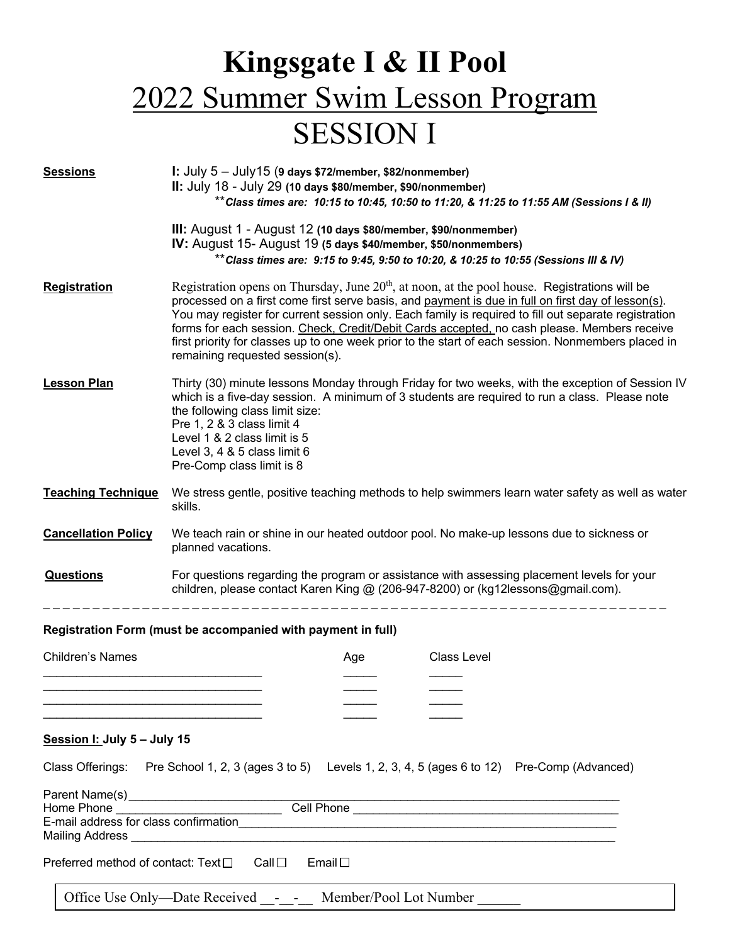# **Kingsgate I & II Pool** 2022 Summer Swim Lesson Program SESSION I

| <b>Sessions</b>                                              | I: July $5 -$ July 15 (9 days \$72/member, \$82/nonmember)<br>II: July 18 - July 29 (10 days \$80/member, \$90/nonmember)<br>**Class times are: 10:15 to 10:45, 10:50 to 11:20, & 11:25 to 11:55 AM (Sessions I & II)                                                                                                                                                                                                                                                                                                                                 |
|--------------------------------------------------------------|-------------------------------------------------------------------------------------------------------------------------------------------------------------------------------------------------------------------------------------------------------------------------------------------------------------------------------------------------------------------------------------------------------------------------------------------------------------------------------------------------------------------------------------------------------|
|                                                              | III: August 1 - August 12 (10 days \$80/member, \$90/nonmember)<br>IV: August 15- August 19 (5 days \$40/member, \$50/nonmembers)<br>** Class times are: 9:15 to 9:45, 9:50 to 10:20, & 10:25 to 10:55 (Sessions III & IV)                                                                                                                                                                                                                                                                                                                            |
| <b>Registration</b>                                          | Registration opens on Thursday, June $20th$ , at noon, at the pool house. Registrations will be<br>processed on a first come first serve basis, and payment is due in full on first day of lesson(s).<br>You may register for current session only. Each family is required to fill out separate registration<br>forms for each session. Check, Credit/Debit Cards accepted, no cash please. Members receive<br>first priority for classes up to one week prior to the start of each session. Nonmembers placed in<br>remaining requested session(s). |
| <b>Lesson Plan</b>                                           | Thirty (30) minute lessons Monday through Friday for two weeks, with the exception of Session IV<br>which is a five-day session. A minimum of 3 students are required to run a class. Please note<br>the following class limit size:<br>Pre 1, 2 & 3 class limit 4<br>Level 1 & 2 class limit is 5<br>Level 3, 4 & 5 class limit 6<br>Pre-Comp class limit is 8                                                                                                                                                                                       |
| <b>Teaching Technique</b>                                    | We stress gentle, positive teaching methods to help swimmers learn water safety as well as water<br>skills.                                                                                                                                                                                                                                                                                                                                                                                                                                           |
| <b>Cancellation Policy</b>                                   | We teach rain or shine in our heated outdoor pool. No make-up lessons due to sickness or<br>planned vacations.                                                                                                                                                                                                                                                                                                                                                                                                                                        |
| <b>Questions</b>                                             | For questions regarding the program or assistance with assessing placement levels for your<br>children, please contact Karen King @ (206-947-8200) or (kg12lessons@gmail.com).                                                                                                                                                                                                                                                                                                                                                                        |
| Registration Form (must be accompanied with payment in full) |                                                                                                                                                                                                                                                                                                                                                                                                                                                                                                                                                       |
| Children's Names                                             | <b>Class Level</b><br>Age                                                                                                                                                                                                                                                                                                                                                                                                                                                                                                                             |
| Session I: July 5 - July 15                                  |                                                                                                                                                                                                                                                                                                                                                                                                                                                                                                                                                       |
| Class Offerings:                                             | Pre School 1, 2, 3 (ages 3 to 5) Levels 1, 2, 3, 4, 5 (ages 6 to 12) Pre-Comp (Advanced)                                                                                                                                                                                                                                                                                                                                                                                                                                                              |
| Home Phone                                                   |                                                                                                                                                                                                                                                                                                                                                                                                                                                                                                                                                       |

E-mail address for class confirmation Mailing Address \_\_\_\_\_\_\_\_\_\_\_\_\_\_\_\_\_\_\_\_\_\_\_\_\_\_\_\_\_\_\_\_\_\_\_\_\_\_\_\_\_\_\_\_\_\_\_\_\_\_\_\_\_\_\_\_\_\_\_\_\_\_\_\_\_\_\_\_\_\_\_\_\_

Preferred method of contact: Text $\square$  Call  $\square$  Email  $\square$ 

Office Use Only-Date Received \_\_\_\_\_\_\_ Member/Pool Lot Number